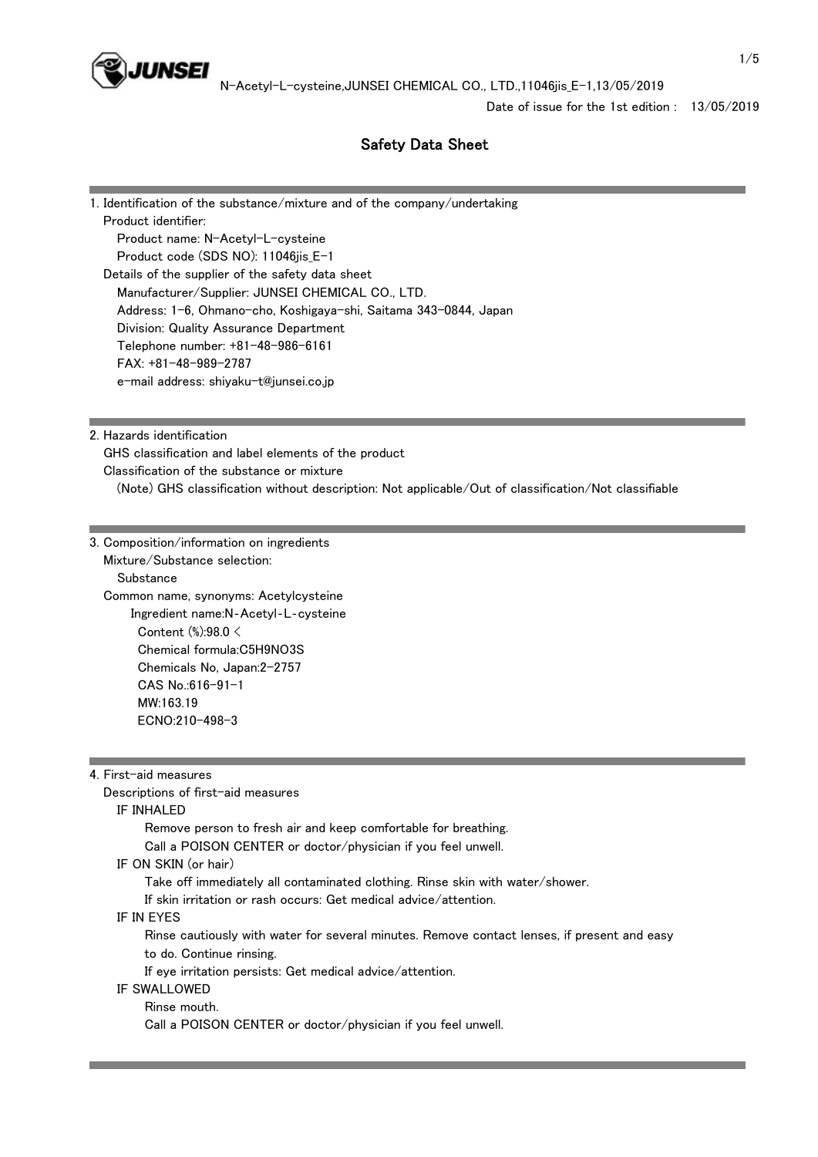

Date of issue for the 1st edition : 13/05/2019

# Safety Data Sheet

1. Identification of the substance/mixture and of the company/undertaking Product identifier: Product name: N-Acetyl-L-cysteine Product code (SDS NO): 11046jis\_E-1 Details of the supplier of the safety data sheet Manufacturer/Supplier: JUNSEI CHEMICAL CO., LTD. Address: 1-6, Ohmano-cho, Koshigaya-shi, Saitama 343-0844, Japan Division: Quality Assurance Department Telephone number: +81-48-986-6161 FAX: +81-48-989-2787 e-mail address: shiyaku-t@junsei.co.jp

2. Hazards identification

 GHS classification and label elements of the product Classification of the substance or mixture

(Note) GHS classification without description: Not applicable/Out of classification/Not classifiable

3. Composition/information on ingredients Mixture/Substance selection: **Substance**  Common name, synonyms: Acetylcysteine Ingredient name:N‐Acetyl‐L‐cysteine Content (%):98.0 < Chemical formula:C5H9NO3S Chemicals No, Japan:2-2757 CAS No.:616-91-1 MW:163.19 ECNO:210-498-3

4. First-aid measures

 Descriptions of first-aid measures IF INHALED Remove person to fresh air and keep comfortable for breathing. Call a POISON CENTER or doctor/physician if you feel unwell. IF ON SKIN (or hair) Take off immediately all contaminated clothing. Rinse skin with water/shower. If skin irritation or rash occurs: Get medical advice/attention. IF IN EYES Rinse cautiously with water for several minutes. Remove contact lenses, if present and easy to do. Continue rinsing. If eye irritation persists: Get medical advice/attention. IF SWALLOWED Rinse mouth.

Call a POISON CENTER or doctor/physician if you feel unwell.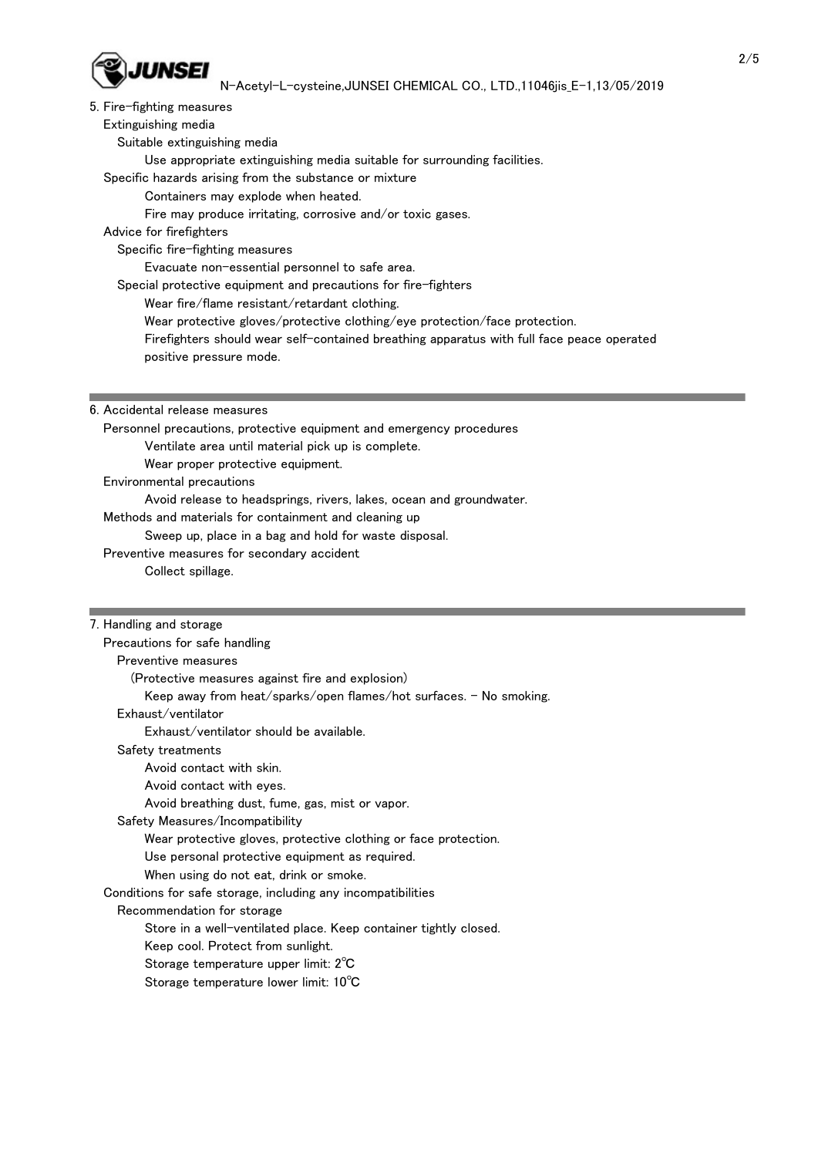

# N-Acetyl-L-cysteine,JUNSEI CHEMICAL CO., LTD.,11046jis\_E-1,13/05/2019

### 5. Fire-fighting measures

Extinguishing media

- Suitable extinguishing media
	- Use appropriate extinguishing media suitable for surrounding facilities.

Specific hazards arising from the substance or mixture

- Containers may explode when heated.
- Fire may produce irritating, corrosive and/or toxic gases.
- Advice for firefighters

Specific fire-fighting measures

Evacuate non-essential personnel to safe area.

- Special protective equipment and precautions for fire-fighters
	- Wear fire/flame resistant/retardant clothing.
	- Wear protective gloves/protective clothing/eye protection/face protection.
	- Firefighters should wear self-contained breathing apparatus with full face peace operated
	- positive pressure mode.
- 6. Accidental release measures
	- Personnel precautions, protective equipment and emergency procedures Ventilate area until material pick up is complete.
		- Wear proper protective equipment.
	- Environmental precautions
	- Avoid release to headsprings, rivers, lakes, ocean and groundwater.
	- Methods and materials for containment and cleaning up
		- Sweep up, place in a bag and hold for waste disposal.
	- Preventive measures for secondary accident
		- Collect spillage.

#### 7. Handling and storage

| Precautions for safe handling                                      |
|--------------------------------------------------------------------|
| Preventive measures                                                |
| (Protective measures against fire and explosion)                   |
| Keep away from heat/sparks/open flames/hot surfaces. - No smoking. |
| Exhaust/ventilator                                                 |
| Exhaust/ventilator should be available.                            |
| Safety treatments                                                  |
| Avoid contact with skin.                                           |
| Avoid contact with eyes.                                           |
| Avoid breathing dust, fume, gas, mist or vapor.                    |
| Safety Measures/Incompatibility                                    |
| Wear protective gloves, protective clothing or face protection.    |
| Use personal protective equipment as required.                     |
| When using do not eat, drink or smoke.                             |
| Conditions for safe storage, including any incompatibilities       |
| Recommendation for storage                                         |
| Store in a well-ventilated place. Keep container tightly closed.   |
| Keep cool. Protect from sunlight.                                  |
| Storage temperature upper limit: 2°C                               |
| Storage temperature lower limit: 10°C                              |
|                                                                    |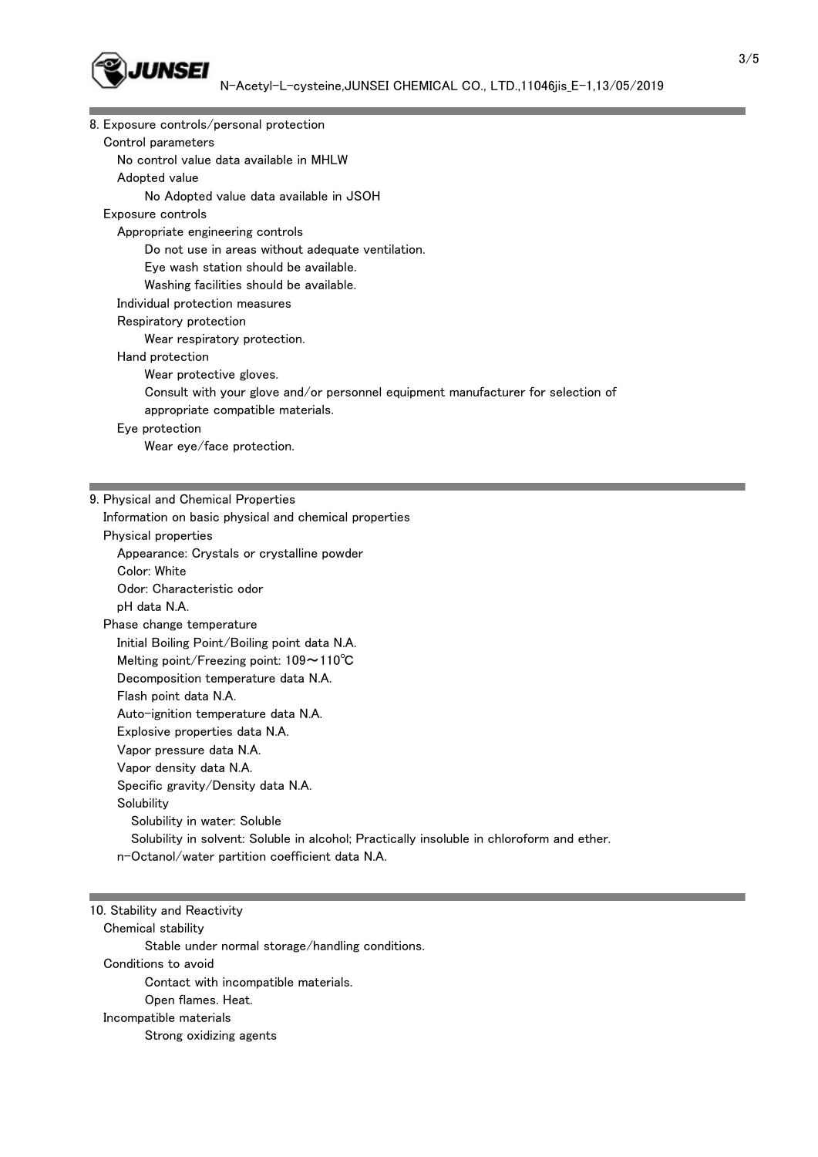

| 8. Exposure controls/personal protection                                         |
|----------------------------------------------------------------------------------|
| Control parameters                                                               |
| No control value data available in MHLW                                          |
| Adopted value                                                                    |
| No Adopted value data available in JSOH                                          |
| Exposure controls                                                                |
| Appropriate engineering controls                                                 |
| Do not use in areas without adequate ventilation.                                |
| Eye wash station should be available.                                            |
| Washing facilities should be available.                                          |
| Individual protection measures                                                   |
| Respiratory protection                                                           |
| Wear respiratory protection.                                                     |
| Hand protection                                                                  |
| Wear protective gloves.                                                          |
| Consult with your glove and/or personnel equipment manufacturer for selection of |
| appropriate compatible materials.                                                |
| Eye protection                                                                   |
| Wear eye/face protection.                                                        |
|                                                                                  |
|                                                                                  |
| 9. Physical and Chemical Properties                                              |
| Information on basic physical and chemical properties                            |
| Physical properties                                                              |
| Appearance: Crystals or crystalline powder                                       |
| Color: White                                                                     |
| Odor: Characteristic odor                                                        |
|                                                                                  |

 pH data N.A. Phase change temperature Initial Boiling Point/Boiling point data N.A. Melting point/Freezing point: 109~110℃ Decomposition temperature data N.A. Flash point data N.A. Auto-ignition temperature data N.A. Explosive properties data N.A. Vapor pressure data N.A. Vapor density data N.A. Specific gravity/Density data N.A. **Solubility**  Solubility in water: Soluble Solubility in solvent: Soluble in alcohol; Practically insoluble in chloroform and ether. n-Octanol/water partition coefficient data N.A.

# 10. Stability and Reactivity

 Chemical stability Stable under normal storage/handling conditions. Conditions to avoid Contact with incompatible materials. Open flames. Heat. Incompatible materials Strong oxidizing agents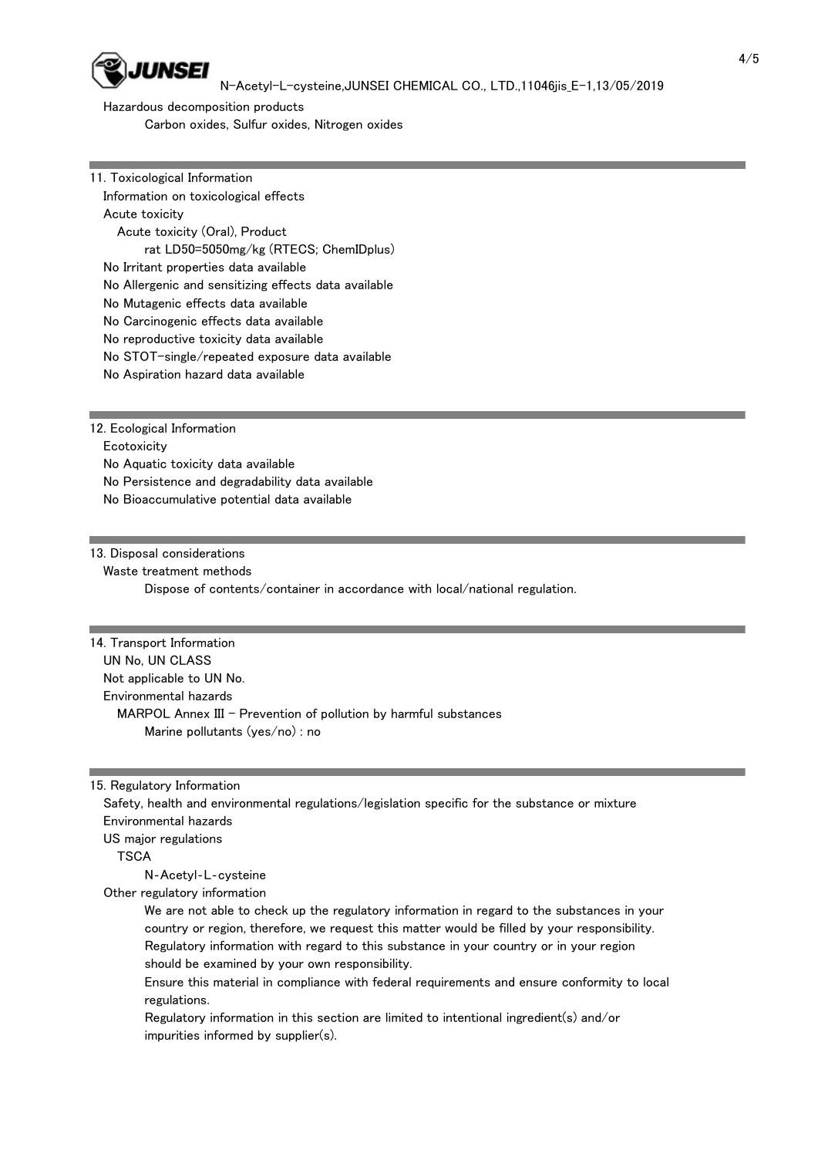

N-Acetyl-L-cysteine,JUNSEI CHEMICAL CO., LTD.,11046jis\_E-1,13/05/2019

 Hazardous decomposition products Carbon oxides, Sulfur oxides, Nitrogen oxides

11. Toxicological Information Information on toxicological effects Acute toxicity Acute toxicity (Oral), Product rat LD50=5050mg/kg (RTECS; ChemIDplus) No Irritant properties data available No Allergenic and sensitizing effects data available No Mutagenic effects data available No Carcinogenic effects data available No reproductive toxicity data available No STOT-single/repeated exposure data available No Aspiration hazard data available

12. Ecological Information

**Ecotoxicity** 

No Aquatic toxicity data available

No Persistence and degradability data available

No Bioaccumulative potential data available

### 13. Disposal considerations

Waste treatment methods

Dispose of contents/container in accordance with local/national regulation.

### 14. Transport Information

 UN No, UN CLASS Not applicable to UN No. Environmental hazards MARPOL Annex III - Prevention of pollution by harmful substances Marine pollutants (yes/no) : no

15. Regulatory Information

 Safety, health and environmental regulations/legislation specific for the substance or mixture Environmental hazards US major regulations **TSCA** 

N‐Acetyl‐L‐cysteine

Other regulatory information

 We are not able to check up the regulatory information in regard to the substances in your country or region, therefore, we request this matter would be filled by your responsibility. Regulatory information with regard to this substance in your country or in your region should be examined by your own responsibility.

 Ensure this material in compliance with federal requirements and ensure conformity to local regulations.

 Regulatory information in this section are limited to intentional ingredient(s) and/or impurities informed by supplier(s).